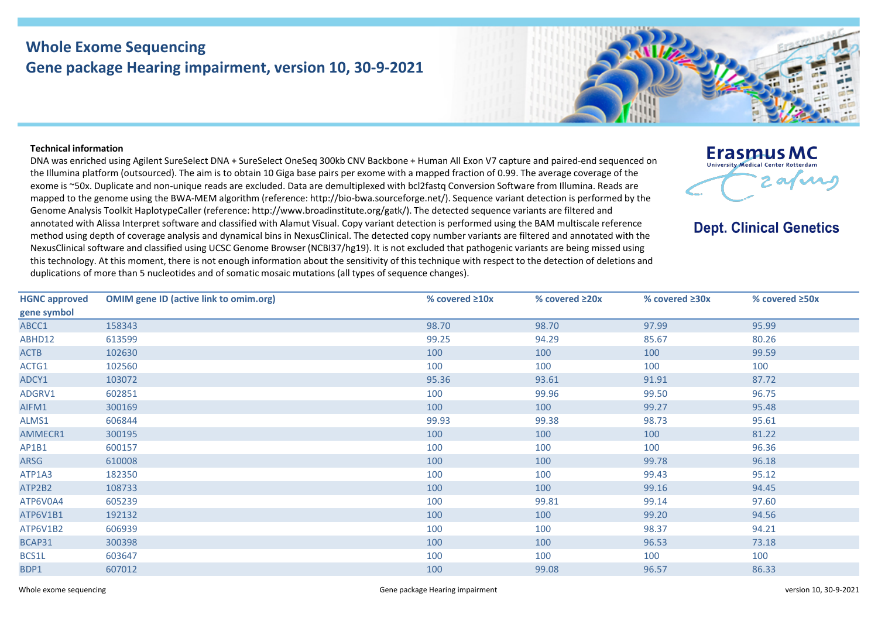## **Whole Exome Sequencing Gene package Hearing impairment, version 10, 30-9-2021**

## **Technical information**

DNA was enriched using Agilent SureSelect DNA + SureSelect OneSeq 300kb CNV Backbone + Human All Exon V7 capture and paired-end sequenced on the Illumina platform (outsourced). The aim is to obtain 10 Giga base pairs per exome with a mapped fraction of 0.99. The average coverage of the exome is ~50x. Duplicate and non-unique reads are excluded. Data are demultiplexed with bcl2fastq Conversion Software from Illumina. Reads are mapped to the genome using the BWA-MEM algorithm (reference: http://bio-bwa.sourceforge.net/). Sequence variant detection is performed by the Genome Analysis Toolkit HaplotypeCaller (reference: http://www.broadinstitute.org/gatk/). The detected sequence variants are filtered and annotated with Alissa Interpret software and classified with Alamut Visual. Copy variant detection is performed using the BAM multiscale reference method using depth of coverage analysis and dynamical bins in NexusClinical. The detected copy number variants are filtered and annotated with the NexusClinical software and classified using UCSC Genome Browser (NCBI37/hg19). It is not excluded that pathogenic variants are being missed using this technology. At this moment, there is not enough information about the sensitivity of this technique with respect to the detection of deletions and duplications of more than 5 nucleotides and of somatic mosaic mutations (all types of sequence changes).



**Dept. Clinical Genetics** 

| <b>HGNC approved</b> | <b>OMIM gene ID (active link to omim.org)</b> | % covered $\geq 10x$ | % covered $\geq 20x$ | % covered $\geq 30x$ | % covered $\geq$ 50x |
|----------------------|-----------------------------------------------|----------------------|----------------------|----------------------|----------------------|
| gene symbol          |                                               |                      |                      |                      |                      |
| ABCC1                | 158343                                        | 98.70                | 98.70                | 97.99                | 95.99                |
| ABHD12               | 613599                                        | 99.25                | 94.29                | 85.67                | 80.26                |
| <b>ACTB</b>          | 102630                                        | 100                  | 100                  | 100                  | 99.59                |
| ACTG1                | 102560                                        | 100                  | 100                  | 100                  | 100                  |
| ADCY1                | 103072                                        | 95.36                | 93.61                | 91.91                | 87.72                |
| ADGRV1               | 602851                                        | 100                  | 99.96                | 99.50                | 96.75                |
| AIFM1                | 300169                                        | 100                  | 100                  | 99.27                | 95.48                |
| ALMS1                | 606844                                        | 99.93                | 99.38                | 98.73                | 95.61                |
| AMMECR1              | 300195                                        | 100                  | 100                  | 100                  | 81.22                |
| AP1B1                | 600157                                        | 100                  | 100                  | 100                  | 96.36                |
| ARSG                 | 610008                                        | 100                  | 100                  | 99.78                | 96.18                |
| ATP1A3               | 182350                                        | 100                  | 100                  | 99.43                | 95.12                |
| ATP2B2               | 108733                                        | 100                  | 100                  | 99.16                | 94.45                |
| ATP6V0A4             | 605239                                        | 100                  | 99.81                | 99.14                | 97.60                |
| ATP6V1B1             | 192132                                        | 100                  | 100                  | 99.20                | 94.56                |
| ATP6V1B2             | 606939                                        | 100                  | 100                  | 98.37                | 94.21                |
| BCAP31               | 300398                                        | 100                  | 100                  | 96.53                | 73.18                |
| BCS1L                | 603647                                        | 100                  | 100                  | 100                  | 100                  |
| BDP1                 | 607012                                        | 100                  | 99.08                | 96.57                | 86.33                |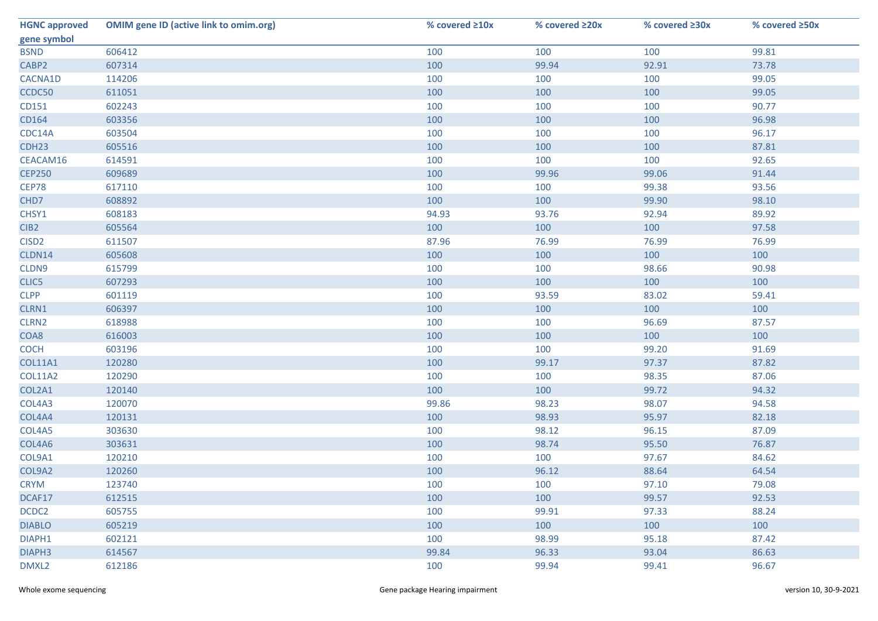| <b>HGNC approved</b> | <b>OMIM gene ID (active link to omim.org)</b> | % covered ≥10x | % covered ≥20x | % covered ≥30x | % covered ≥50x |
|----------------------|-----------------------------------------------|----------------|----------------|----------------|----------------|
| gene symbol          |                                               |                |                |                |                |
| <b>BSND</b>          | 606412                                        | 100            | 100            | 100            | 99.81          |
| CABP2                | 607314                                        | 100            | 99.94          | 92.91          | 73.78          |
| CACNA1D              | 114206                                        | 100            | 100            | 100            | 99.05          |
| CCDC50               | 611051                                        | 100            | 100            | 100            | 99.05          |
| CD151                | 602243                                        | 100            | 100            | 100            | 90.77          |
| CD164                | 603356                                        | 100            | 100            | 100            | 96.98          |
| CDC14A               | 603504                                        | 100            | 100            | 100            | 96.17          |
| CDH <sub>23</sub>    | 605516                                        | 100            | 100            | 100            | 87.81          |
| CEACAM16             | 614591                                        | 100            | 100            | 100            | 92.65          |
| <b>CEP250</b>        | 609689                                        | 100            | 99.96          | 99.06          | 91.44          |
| CEP78                | 617110                                        | 100            | 100            | 99.38          | 93.56          |
| CHD7                 | 608892                                        | 100            | 100            | 99.90          | 98.10          |
| CHSY1                | 608183                                        | 94.93          | 93.76          | 92.94          | 89.92          |
| CIB <sub>2</sub>     | 605564                                        | 100            | 100            | 100            | 97.58          |
| CISD <sub>2</sub>    | 611507                                        | 87.96          | 76.99          | 76.99          | 76.99          |
| CLDN14               | 605608                                        | 100            | 100            | 100            | 100            |
| CLDN9                | 615799                                        | 100            | 100            | 98.66          | 90.98          |
| CLIC5                | 607293                                        | 100            | 100            | 100            | 100            |
| <b>CLPP</b>          | 601119                                        | 100            | 93.59          | 83.02          | 59.41          |
| CLRN1                | 606397                                        | 100            | 100            | 100            | 100            |
| CLRN2                | 618988                                        | 100            | 100            | 96.69          | 87.57          |
| COA8                 | 616003                                        | 100            | 100            | 100            | 100            |
| <b>COCH</b>          | 603196                                        | 100            | 100            | 99.20          | 91.69          |
| <b>COL11A1</b>       | 120280                                        | 100            | 99.17          | 97.37          | 87.82          |
| <b>COL11A2</b>       | 120290                                        | 100            | 100            | 98.35          | 87.06          |
| COL2A1               | 120140                                        | 100            | 100            | 99.72          | 94.32          |
| COL4A3               | 120070                                        | 99.86          | 98.23          | 98.07          | 94.58          |
| COL4A4               | 120131                                        | 100            | 98.93          | 95.97          | 82.18          |
| COL4A5               | 303630                                        | 100            | 98.12          | 96.15          | 87.09          |
| COL4A6               | 303631                                        | 100            | 98.74          | 95.50          | 76.87          |
| COL9A1               | 120210                                        | 100            | 100            | 97.67          | 84.62          |
| COL9A2               | 120260                                        | 100            | 96.12          | 88.64          | 64.54          |
| <b>CRYM</b>          | 123740                                        | 100            | 100            | 97.10          | 79.08          |
| DCAF17               | 612515                                        | 100            | 100            | 99.57          | 92.53          |
| DCDC2                | 605755                                        | 100            | 99.91          | 97.33          | 88.24          |
| <b>DIABLO</b>        | 605219                                        | 100            | 100            | 100            | 100            |
| DIAPH1               | 602121                                        | 100            | 98.99          | 95.18          | 87.42          |
| DIAPH <sub>3</sub>   | 614567                                        | 99.84          | 96.33          | 93.04          | 86.63          |
| DMXL2                | 612186                                        | 100            | 99.94          | 99.41          | 96.67          |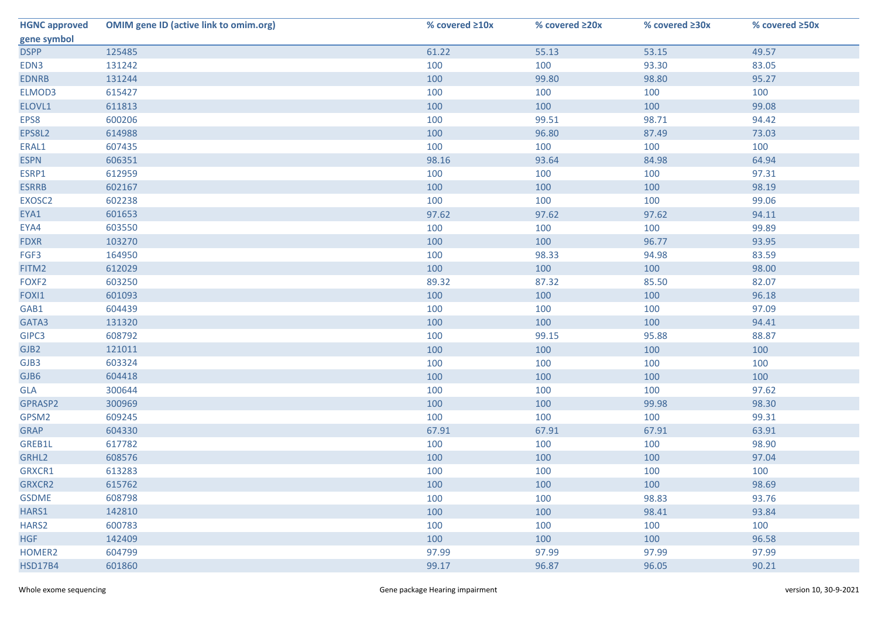| <b>HGNC approved</b> | <b>OMIM gene ID (active link to omim.org)</b> | % covered ≥10x | % covered ≥20x | % covered ≥30x | % covered ≥50x |
|----------------------|-----------------------------------------------|----------------|----------------|----------------|----------------|
| gene symbol          |                                               |                |                |                |                |
| <b>DSPP</b>          | 125485                                        | 61.22          | 55.13          | 53.15          | 49.57          |
| EDN3                 | 131242                                        | 100            | 100            | 93.30          | 83.05          |
| <b>EDNRB</b>         | 131244                                        | 100            | 99.80          | 98.80          | 95.27          |
| ELMOD3               | 615427                                        | 100            | 100            | 100            | 100            |
| ELOVL1               | 611813                                        | 100            | 100            | 100            | 99.08          |
| EPS8                 | 600206                                        | 100            | 99.51          | 98.71          | 94.42          |
| EPS8L2               | 614988                                        | 100            | 96.80          | 87.49          | 73.03          |
| ERAL1                | 607435                                        | 100            | 100            | 100            | 100            |
| <b>ESPN</b>          | 606351                                        | 98.16          | 93.64          | 84.98          | 64.94          |
| ESRP1                | 612959                                        | 100            | 100            | 100            | 97.31          |
| <b>ESRRB</b>         | 602167                                        | 100            | 100            | 100            | 98.19          |
| EXOSC2               | 602238                                        | 100            | 100            | 100            | 99.06          |
| EYA1                 | 601653                                        | 97.62          | 97.62          | 97.62          | 94.11          |
| EYA4                 | 603550                                        | 100            | 100            | 100            | 99.89          |
| <b>FDXR</b>          | 103270                                        | 100            | 100            | 96.77          | 93.95          |
| FGF3                 | 164950                                        | 100            | 98.33          | 94.98          | 83.59          |
| FITM2                | 612029                                        | 100            | 100            | 100            | 98.00          |
| FOXF <sub>2</sub>    | 603250                                        | 89.32          | 87.32          | 85.50          | 82.07          |
| FOXI1                | 601093                                        | 100            | 100            | 100            | 96.18          |
| GAB1                 | 604439                                        | 100            | 100            | 100            | 97.09          |
| GATA3                | 131320                                        | 100            | 100            | 100            | 94.41          |
| GIPC3                | 608792                                        | 100            | 99.15          | 95.88          | 88.87          |
| GJB2                 | 121011                                        | 100            | 100            | 100            | 100            |
| GJB3                 | 603324                                        | 100            | 100            | 100            | 100            |
| GJB6                 | 604418                                        | 100            | 100            | 100            | 100            |
| GLA                  | 300644                                        | 100            | 100            | 100            | 97.62          |
| GPRASP2              | 300969                                        | 100            | 100            | 99.98          | 98.30          |
| GPSM2                | 609245                                        | 100            | 100            | 100            | 99.31          |
| <b>GRAP</b>          | 604330                                        | 67.91          | 67.91          | 67.91          | 63.91          |
| GREB1L               | 617782                                        | 100            | 100            | 100            | 98.90          |
| GRHL2                | 608576                                        | 100            | 100            | 100            | 97.04          |
| GRXCR1               | 613283                                        | 100            | 100            | 100            | 100            |
| GRXCR2               | 615762                                        | 100            | 100            | 100            | 98.69          |
| <b>GSDME</b>         | 608798                                        | 100            | 100            | 98.83          | 93.76          |
| HARS1                | 142810                                        | 100            | 100            | 98.41          | 93.84          |
| HARS <sub>2</sub>    | 600783                                        | 100            | 100            | 100            | 100            |
| <b>HGF</b>           | 142409                                        | 100            | 100            | 100            | 96.58          |
| HOMER2               | 604799                                        | 97.99          | 97.99          | 97.99          | 97.99          |
| <b>HSD17B4</b>       | 601860                                        | 99.17          | 96.87          | 96.05          | 90.21          |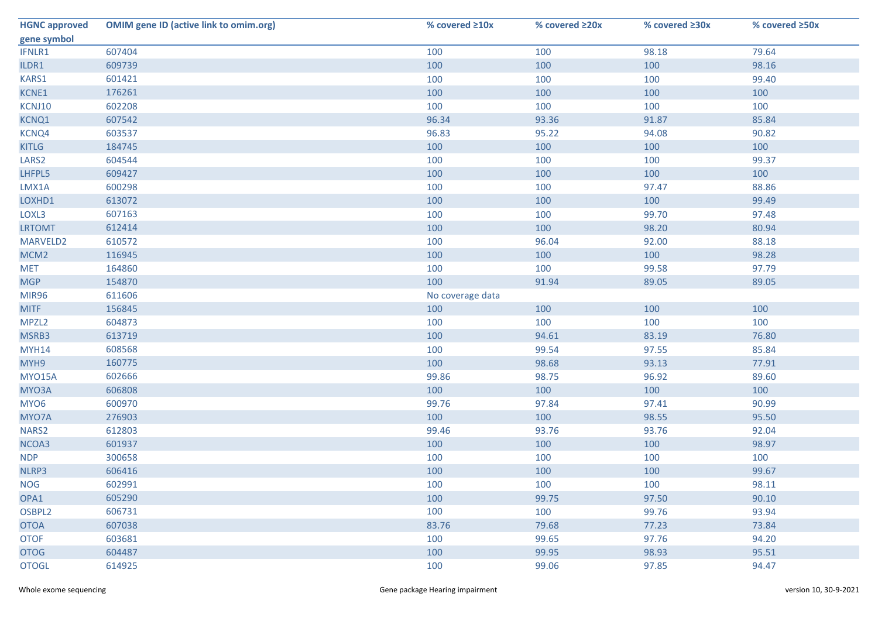| <b>HGNC approved</b> | <b>OMIM gene ID (active link to omim.org)</b> | % covered ≥10x   | % covered ≥20x | % covered ≥30x | % covered ≥50x |
|----------------------|-----------------------------------------------|------------------|----------------|----------------|----------------|
| gene symbol          |                                               |                  |                |                |                |
| IFNLR1               | 607404                                        | 100              | 100            | 98.18          | 79.64          |
| ILDR1                | 609739                                        | 100              | 100            | 100            | 98.16          |
| KARS1                | 601421                                        | 100              | 100            | 100            | 99.40          |
| KCNE1                | 176261                                        | 100              | 100            | 100            | 100            |
| KCNJ10               | 602208                                        | 100              | 100            | 100            | 100            |
| KCNQ1                | 607542                                        | 96.34            | 93.36          | 91.87          | 85.84          |
| KCNQ4                | 603537                                        | 96.83            | 95.22          | 94.08          | 90.82          |
| <b>KITLG</b>         | 184745                                        | 100              | 100            | 100            | 100            |
| LARS <sub>2</sub>    | 604544                                        | 100              | 100            | 100            | 99.37          |
| LHFPL5               | 609427                                        | 100              | 100            | 100            | 100            |
| LMX1A                | 600298                                        | 100              | 100            | 97.47          | 88.86          |
| LOXHD1               | 613072                                        | 100              | 100            | 100            | 99.49          |
| LOXL3                | 607163                                        | 100              | 100            | 99.70          | 97.48          |
| <b>LRTOMT</b>        | 612414                                        | 100              | 100            | 98.20          | 80.94          |
| MARVELD2             | 610572                                        | 100              | 96.04          | 92.00          | 88.18          |
| MCM <sub>2</sub>     | 116945                                        | 100              | 100            | 100            | 98.28          |
| <b>MET</b>           | 164860                                        | 100              | 100            | 99.58          | 97.79          |
| <b>MGP</b>           | 154870                                        | 100              | 91.94          | 89.05          | 89.05          |
| <b>MIR96</b>         | 611606                                        | No coverage data |                |                |                |
| <b>MITF</b>          | 156845                                        | 100              | 100            | 100            | 100            |
| MPZL <sub>2</sub>    | 604873                                        | 100              | 100            | 100            | 100            |
| MSRB3                | 613719                                        | 100              | 94.61          | 83.19          | 76.80          |
| <b>MYH14</b>         | 608568                                        | 100              | 99.54          | 97.55          | 85.84          |
| MYH9                 | 160775                                        | 100              | 98.68          | 93.13          | 77.91          |
| <b>MYO15A</b>        | 602666                                        | 99.86            | 98.75          | 96.92          | 89.60          |
| MYO3A                | 606808                                        | 100              | 100            | 100            | 100            |
| MYO6                 | 600970                                        | 99.76            | 97.84          | 97.41          | 90.99          |
| MYO7A                | 276903                                        | 100              | 100            | 98.55          | 95.50          |
| NARS2                | 612803                                        | 99.46            | 93.76          | 93.76          | 92.04          |
| NCOA3                | 601937                                        | 100              | 100            | 100            | 98.97          |
| <b>NDP</b>           | 300658                                        | 100              | 100            | 100            | 100            |
| NLRP3                | 606416                                        | 100              | 100            | 100            | 99.67          |
| <b>NOG</b>           | 602991                                        | 100              | 100            | 100            | 98.11          |
| OPA1                 | 605290                                        | 100              | 99.75          | 97.50          | 90.10          |
| OSBPL2               | 606731                                        | 100              | 100            | 99.76          | 93.94          |
| <b>OTOA</b>          | 607038                                        | 83.76            | 79.68          | 77.23          | 73.84          |
| <b>OTOF</b>          | 603681                                        | 100              | 99.65          | 97.76          | 94.20          |
| <b>OTOG</b>          | 604487                                        | 100              | 99.95          | 98.93          | 95.51          |
| <b>OTOGL</b>         | 614925                                        | 100              | 99.06          | 97.85          | 94.47          |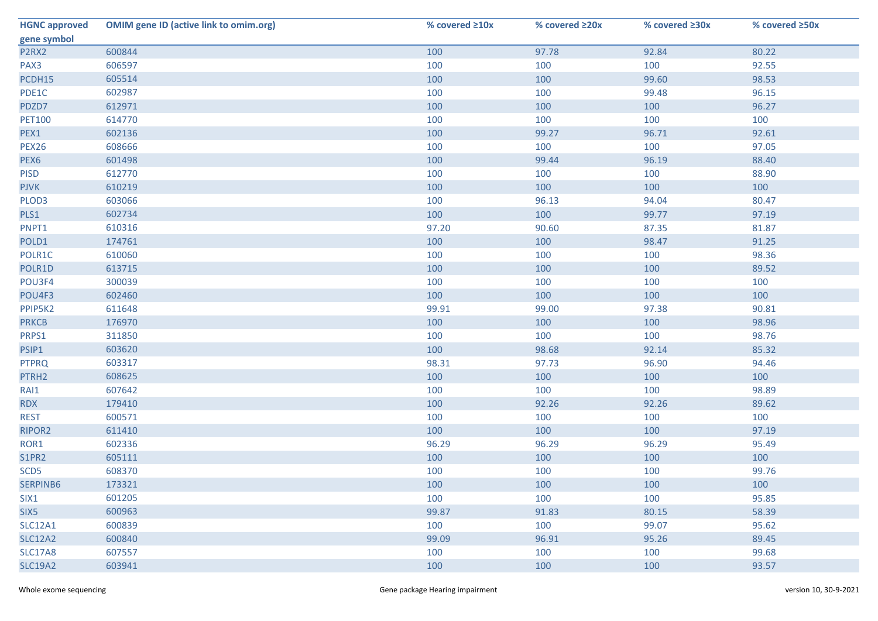| <b>HGNC approved</b> | <b>OMIM gene ID (active link to omim.org)</b> | % covered ≥10x | % covered ≥20x | % covered ≥30x | % covered ≥50x |
|----------------------|-----------------------------------------------|----------------|----------------|----------------|----------------|
| gene symbol          |                                               |                |                |                |                |
| P2RX2                | 600844                                        | 100            | 97.78          | 92.84          | 80.22          |
| PAX3                 | 606597                                        | 100            | 100            | 100            | 92.55          |
| PCDH15               | 605514                                        | 100            | 100            | 99.60          | 98.53          |
| PDE1C                | 602987                                        | 100            | 100            | 99.48          | 96.15          |
| PDZD7                | 612971                                        | 100            | 100            | 100            | 96.27          |
| <b>PET100</b>        | 614770                                        | 100            | 100            | 100            | 100            |
| PEX1                 | 602136                                        | 100            | 99.27          | 96.71          | 92.61          |
| <b>PEX26</b>         | 608666                                        | 100            | 100            | 100            | 97.05          |
| PEX6                 | 601498                                        | 100            | 99.44          | 96.19          | 88.40          |
| <b>PISD</b>          | 612770                                        | 100            | 100            | 100            | 88.90          |
| <b>PJVK</b>          | 610219                                        | 100            | 100            | 100            | 100            |
| PLOD3                | 603066                                        | 100            | 96.13          | 94.04          | 80.47          |
| PLS1                 | 602734                                        | 100            | 100            | 99.77          | 97.19          |
| PNPT1                | 610316                                        | 97.20          | 90.60          | 87.35          | 81.87          |
| POLD1                | 174761                                        | 100            | 100            | 98.47          | 91.25          |
| POLR1C               | 610060                                        | 100            | 100            | 100            | 98.36          |
| POLR1D               | 613715                                        | 100            | 100            | 100            | 89.52          |
| POU3F4               | 300039                                        | 100            | 100            | 100            | 100            |
| POU4F3               | 602460                                        | 100            | 100            | 100            | 100            |
| PPIP5K2              | 611648                                        | 99.91          | 99.00          | 97.38          | 90.81          |
| <b>PRKCB</b>         | 176970                                        | 100            | 100            | 100            | 98.96          |
| PRPS1                | 311850                                        | 100            | 100            | 100            | 98.76          |
| PSIP1                | 603620                                        | 100            | 98.68          | 92.14          | 85.32          |
| <b>PTPRQ</b>         | 603317                                        | 98.31          | 97.73          | 96.90          | 94.46          |
| PTRH2                | 608625                                        | 100            | 100            | 100            | 100            |
| RAI1                 | 607642                                        | 100            | 100            | 100            | 98.89          |
| <b>RDX</b>           | 179410                                        | 100            | 92.26          | 92.26          | 89.62          |
| <b>REST</b>          | 600571                                        | 100            | 100            | 100            | 100            |
| RIPOR2               | 611410                                        | 100            | 100            | 100            | 97.19          |
| ROR1                 | 602336                                        | 96.29          | 96.29          | 96.29          | 95.49          |
| S1PR2                | 605111                                        | 100            | 100            | 100            | 100            |
| SCD <sub>5</sub>     | 608370                                        | 100            | 100            | 100            | 99.76          |
| SERPINB6             | 173321                                        | 100            | 100            | 100            | 100            |
| SIX1                 | 601205                                        | 100            | 100            | 100            | 95.85          |
| SIX5                 | 600963                                        | 99.87          | 91.83          | 80.15          | 58.39          |
| <b>SLC12A1</b>       | 600839                                        | 100            | 100            | 99.07          | 95.62          |
| <b>SLC12A2</b>       | 600840                                        | 99.09          | 96.91          | 95.26          | 89.45          |
| <b>SLC17A8</b>       | 607557                                        | 100            | 100            | 100            | 99.68          |
| <b>SLC19A2</b>       | 603941                                        | 100            | 100            | 100            | 93.57          |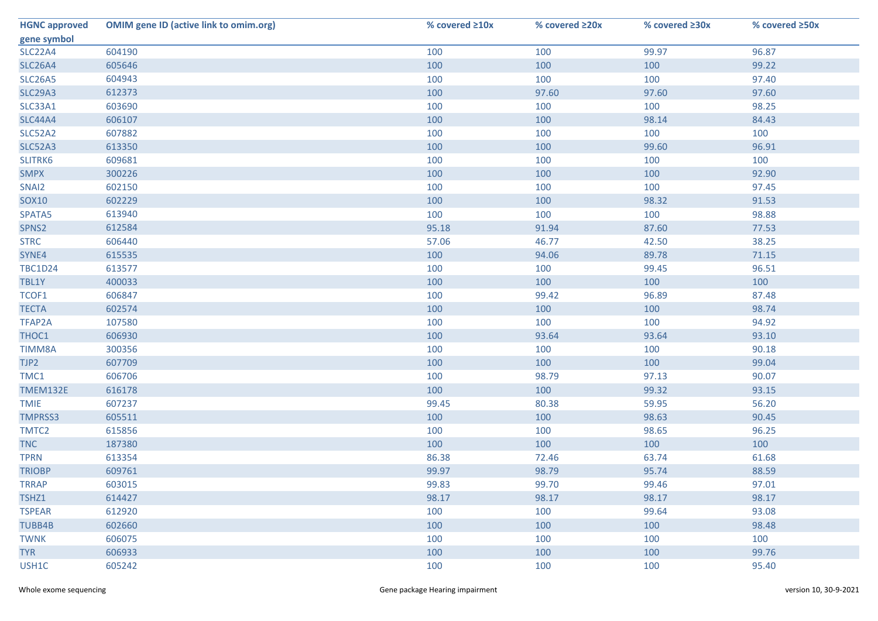| <b>HGNC approved</b> | <b>OMIM gene ID (active link to omim.org)</b> | % covered ≥10x | % covered ≥20x | % covered ≥30x | % covered ≥50x |
|----------------------|-----------------------------------------------|----------------|----------------|----------------|----------------|
| gene symbol          |                                               |                |                |                |                |
| <b>SLC22A4</b>       | 604190                                        | 100            | 100            | 99.97          | 96.87          |
| <b>SLC26A4</b>       | 605646                                        | 100            | 100            | 100            | 99.22          |
| <b>SLC26A5</b>       | 604943                                        | 100            | 100            | 100            | 97.40          |
| <b>SLC29A3</b>       | 612373                                        | 100            | 97.60          | 97.60          | 97.60          |
| SLC33A1              | 603690                                        | 100            | 100            | 100            | 98.25          |
| <b>SLC44A4</b>       | 606107                                        | 100            | 100            | 98.14          | 84.43          |
| SLC52A2              | 607882                                        | 100            | 100            | 100            | 100            |
| <b>SLC52A3</b>       | 613350                                        | 100            | 100            | 99.60          | 96.91          |
| SLITRK6              | 609681                                        | 100            | 100            | 100            | 100            |
| <b>SMPX</b>          | 300226                                        | 100            | 100            | 100            | 92.90          |
| SNAI2                | 602150                                        | 100            | 100            | 100            | 97.45          |
| <b>SOX10</b>         | 602229                                        | 100            | 100            | 98.32          | 91.53          |
| SPATA5               | 613940                                        | 100            | 100            | 100            | 98.88          |
| SPNS2                | 612584                                        | 95.18          | 91.94          | 87.60          | 77.53          |
| <b>STRC</b>          | 606440                                        | 57.06          | 46.77          | 42.50          | 38.25          |
| SYNE4                | 615535                                        | 100            | 94.06          | 89.78          | 71.15          |
| <b>TBC1D24</b>       | 613577                                        | 100            | 100            | 99.45          | 96.51          |
| TBL1Y                | 400033                                        | 100            | 100            | 100            | 100            |
| TCOF1                | 606847                                        | 100            | 99.42          | 96.89          | 87.48          |
| <b>TECTA</b>         | 602574                                        | 100            | 100            | 100            | 98.74          |
| TFAP2A               | 107580                                        | 100            | 100            | 100            | 94.92          |
| THOC1                | 606930                                        | 100            | 93.64          | 93.64          | 93.10          |
| TIMM8A               | 300356                                        | 100            | 100            | 100            | 90.18          |
| TJP2                 | 607709                                        | 100            | 100            | 100            | 99.04          |
| TMC1                 | 606706                                        | 100            | 98.79          | 97.13          | 90.07          |
| TMEM132E             | 616178                                        | 100            | 100            | 99.32          | 93.15          |
| <b>TMIE</b>          | 607237                                        | 99.45          | 80.38          | 59.95          | 56.20          |
| <b>TMPRSS3</b>       | 605511                                        | 100            | 100            | 98.63          | 90.45          |
| TMTC2                | 615856                                        | 100            | 100            | 98.65          | 96.25          |
| <b>TNC</b>           | 187380                                        | 100            | 100            | 100            | 100            |
| <b>TPRN</b>          | 613354                                        | 86.38          | 72.46          | 63.74          | 61.68          |
| <b>TRIOBP</b>        | 609761                                        | 99.97          | 98.79          | 95.74          | 88.59          |
| <b>TRRAP</b>         | 603015                                        | 99.83          | 99.70          | 99.46          | 97.01          |
| TSHZ1                | 614427                                        | 98.17          | 98.17          | 98.17          | 98.17          |
| <b>TSPEAR</b>        | 612920                                        | 100            | 100            | 99.64          | 93.08          |
| TUBB4B               | 602660                                        | 100            | 100            | 100            | 98.48          |
| <b>TWNK</b>          | 606075                                        | 100            | 100            | 100            | 100            |
| <b>TYR</b>           | 606933                                        | 100            | 100            | 100            | 99.76          |
| USH1C                | 605242                                        | 100            | 100            | 100            | 95.40          |